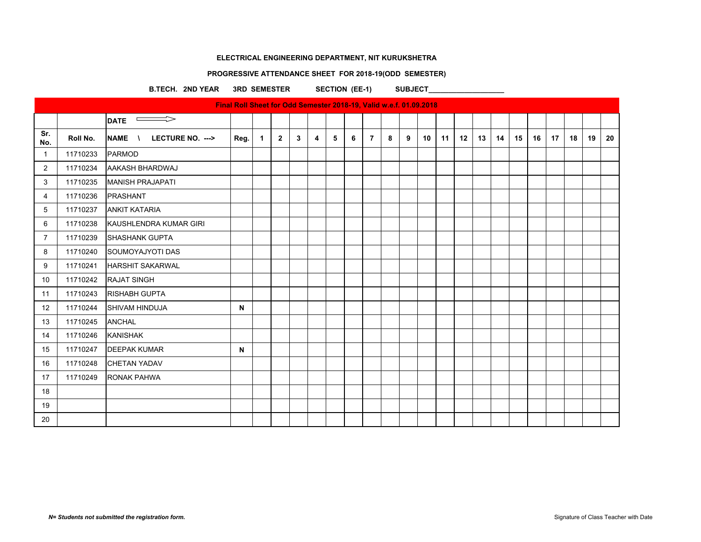#### **PROGRESSIVE ATTENDANCE SHEET FOR 2018-19(ODD SEMESTER)**

B.TECH. 2ND YEAR 3RD SEMESTER SECTION (EE-1) SUBJECT

 $\overline{\phantom{a}}$ DATE  $\overline{\phantom{a}}$ **Sr.**  Sr. | Roll No. |NAME \ LECTURE NO. ---> |Reg. | 1 | 2 | 3 | 4 | 5 | 6 | 7 | 8 | 9 | 10 | 11 | 12 | 13 | 14 | 15 | 16 | 17 | 18 | 19 | 20 1 11710233 PARMOD 2 | 11710234 AAKASH BHARDWAJ 3 11710235 MANISH PRAJAPATI 4 11710236 PRASHANT 5 11710237 ANKIT KATARIA 6 11710238 KAUSHLENDRA KUMAR GIRI 7 | 11710239 SHASHANK GUPTA 8 11710240 SOUMOYAJYOTI DAS 9 | 11710241 | HARSHIT SAKARWAL 10 11710242 RAJAT SINGH 11 | 11710243 | RISHABH GUPTA 12 11710244 SHIVAM HINDUJA **N** 13 | 11710245 | ANCHAL 14 11710246 KANISHAK 15 | 11710247 DEEPAK KUMAR **N** | **N** 16 11710248 CHETAN YADAV 17 11710249 RONAK PAHWA 18 19 20 **Final Roll Sheet for Odd Semester 2018-19, Valid w.e.f. 01.09.2018**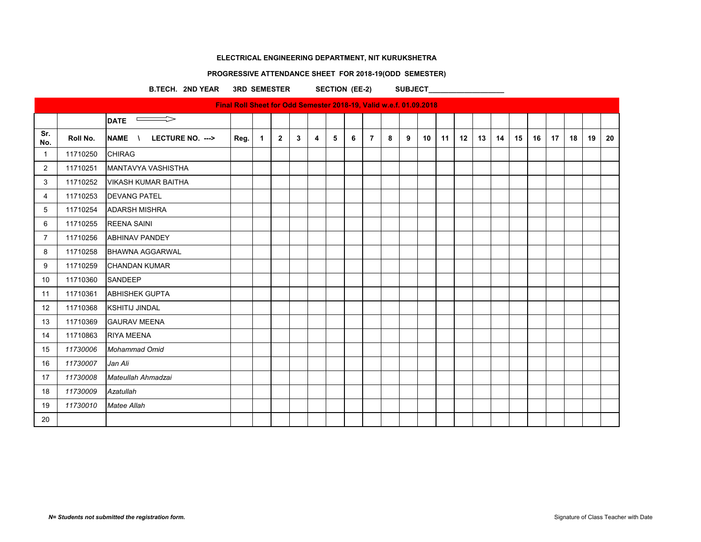#### **PROGRESSIVE ATTENDANCE SHEET FOR 2018-19(ODD SEMESTER)**

B.TECH. 2ND YEAR 3RD SEMESTER SECTION (EE-2) SUBJECT

 $\overline{\phantom{a}}$ DATE  $\overline{\phantom{a}}$ **Sr.**  Sr. | Roll No. |NAME \ LECTURE NO. ---> |Reg. | 1 | 2 | 3 | 4 | 5 | 6 | 7 | 8 | 9 | 10 | 11 | 12 | 13 | 14 | 15 | 16 | 17 | 18 | 19 | 20 11710250 CHIRAG 2 | 11710251 MANTAVYA VASHISTHA 11710252 VIKASH KUMAR BAITHA 11710253 DEVANG PATEL 11710254 ADARSH MISHRA 11710255 REENA SAINI 11710256 ABHINAV PANDEY 8 11710258 BHAWNA AGGARWAL 11710259 CHANDAN KUMAR 11710360 SANDEEP 11 | 11710361 | ABHISHEK GUPTA 11710368 KSHITIJ JINDAL 11710369 GAURAV MEENA 11710863 RIYA MEENA *11730006 Mohammad Omid 11730007 Jan Ali 11730008 Mateullah Ahmadzai 11730009 Azatullah 11730010 Matee Allah* **Final Roll Sheet for Odd Semester 2018-19, Valid w.e.f. 01.09.2018**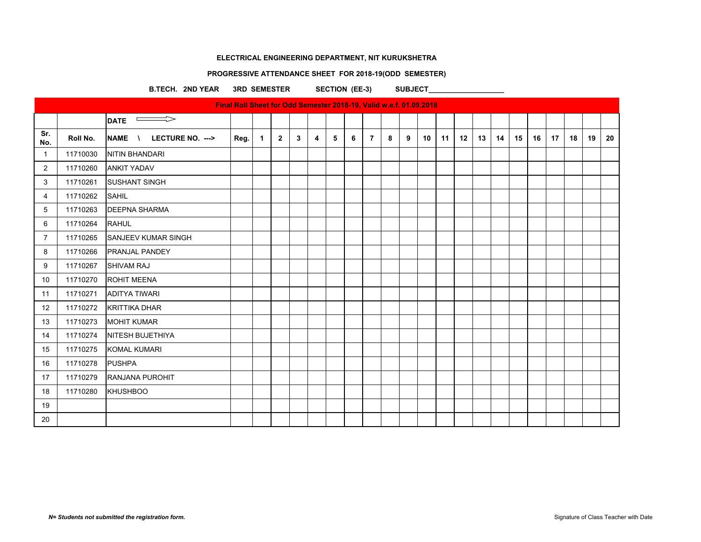# **PROGRESSIVE ATTENDANCE SHEET FOR 2018-19(ODD SEMESTER)**

B.TECH. 2ND YEAR 3RD SEMESTER SECTION (EE-3) SUBJECT

| Final Roll Sheet for Odd Semester 2018-19, Valid w.e.f. 01.09.2018 |          |                                               |      |                |              |   |   |   |   |                |   |   |    |    |                  |    |    |    |    |    |    |    |    |
|--------------------------------------------------------------------|----------|-----------------------------------------------|------|----------------|--------------|---|---|---|---|----------------|---|---|----|----|------------------|----|----|----|----|----|----|----|----|
|                                                                    |          | $\implies$<br><b>DATE</b>                     |      |                |              |   |   |   |   |                |   |   |    |    |                  |    |    |    |    |    |    |    |    |
| Sr.<br>No.                                                         | Roll No. | <b>NAME</b><br>LECTURE NO. ---><br>$\sqrt{ }$ | Reg. | $\overline{1}$ | $\mathbf{2}$ | 3 | 4 | 5 | 6 | $\overline{7}$ | 8 | 9 | 10 | 11 | 12 <sup>12</sup> | 13 | 14 | 15 | 16 | 17 | 18 | 19 | 20 |
| $\overline{1}$                                                     | 11710030 | NITIN BHANDARI                                |      |                |              |   |   |   |   |                |   |   |    |    |                  |    |    |    |    |    |    |    |    |
| 2                                                                  | 11710260 | <b>ANKIT YADAV</b>                            |      |                |              |   |   |   |   |                |   |   |    |    |                  |    |    |    |    |    |    |    |    |
| 3                                                                  | 11710261 | <b>SUSHANT SINGH</b>                          |      |                |              |   |   |   |   |                |   |   |    |    |                  |    |    |    |    |    |    |    |    |
| 4                                                                  | 11710262 | <b>SAHIL</b>                                  |      |                |              |   |   |   |   |                |   |   |    |    |                  |    |    |    |    |    |    |    |    |
| 5                                                                  | 11710263 | <b>DEEPNA SHARMA</b>                          |      |                |              |   |   |   |   |                |   |   |    |    |                  |    |    |    |    |    |    |    |    |
| 6                                                                  | 11710264 | <b>RAHUL</b>                                  |      |                |              |   |   |   |   |                |   |   |    |    |                  |    |    |    |    |    |    |    |    |
| $\overline{7}$                                                     | 11710265 | <b>SANJEEV KUMAR SINGH</b>                    |      |                |              |   |   |   |   |                |   |   |    |    |                  |    |    |    |    |    |    |    |    |
| 8                                                                  | 11710266 | <b>PRANJAL PANDEY</b>                         |      |                |              |   |   |   |   |                |   |   |    |    |                  |    |    |    |    |    |    |    |    |
| 9                                                                  | 11710267 | <b>SHIVAM RAJ</b>                             |      |                |              |   |   |   |   |                |   |   |    |    |                  |    |    |    |    |    |    |    |    |
| 10                                                                 | 11710270 | <b>ROHIT MEENA</b>                            |      |                |              |   |   |   |   |                |   |   |    |    |                  |    |    |    |    |    |    |    |    |
| 11                                                                 | 11710271 | <b>ADITYA TIWARI</b>                          |      |                |              |   |   |   |   |                |   |   |    |    |                  |    |    |    |    |    |    |    |    |
| 12                                                                 | 11710272 | <b>KRITTIKA DHAR</b>                          |      |                |              |   |   |   |   |                |   |   |    |    |                  |    |    |    |    |    |    |    |    |
| 13                                                                 | 11710273 | <b>MOHIT KUMAR</b>                            |      |                |              |   |   |   |   |                |   |   |    |    |                  |    |    |    |    |    |    |    |    |
| 14                                                                 | 11710274 | <b>NITESH BUJETHIYA</b>                       |      |                |              |   |   |   |   |                |   |   |    |    |                  |    |    |    |    |    |    |    |    |
| 15                                                                 | 11710275 | <b>KOMAL KUMARI</b>                           |      |                |              |   |   |   |   |                |   |   |    |    |                  |    |    |    |    |    |    |    |    |
| 16                                                                 | 11710278 | <b>PUSHPA</b>                                 |      |                |              |   |   |   |   |                |   |   |    |    |                  |    |    |    |    |    |    |    |    |
| 17                                                                 | 11710279 | RANJANA PUROHIT                               |      |                |              |   |   |   |   |                |   |   |    |    |                  |    |    |    |    |    |    |    |    |
| 18                                                                 | 11710280 | <b>KHUSHBOO</b>                               |      |                |              |   |   |   |   |                |   |   |    |    |                  |    |    |    |    |    |    |    |    |
| 19                                                                 |          |                                               |      |                |              |   |   |   |   |                |   |   |    |    |                  |    |    |    |    |    |    |    |    |
| 20                                                                 |          |                                               |      |                |              |   |   |   |   |                |   |   |    |    |                  |    |    |    |    |    |    |    |    |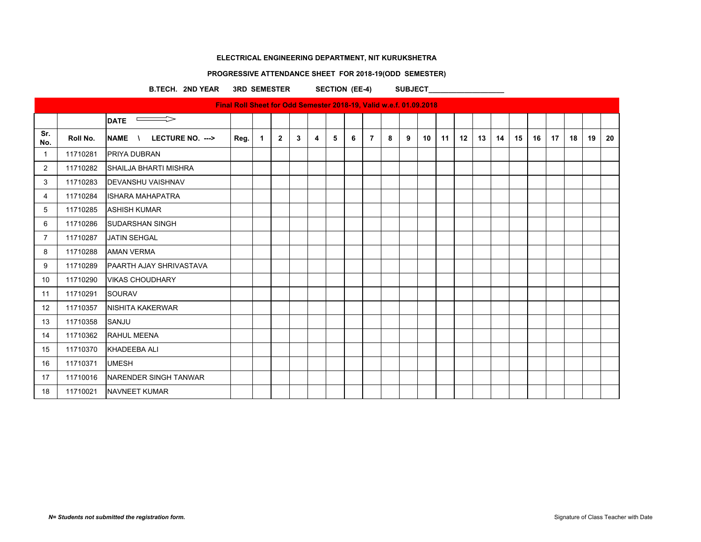#### **PROGRESSIVE ATTENDANCE SHEET FOR 2018-19(ODD SEMESTER)**

B.TECH. 2ND YEAR 3RD SEMESTER SECTION (EE-4) SUBJECT

 $\overline{\phantom{a}}$ DATE  $\overline{\phantom{a}}$ **Sr.**  Sr. | Roll No. |NAME \ LECTURE NO. ---> |Reg. | 1 | 2 | 3 | 4 | 5 | 6 | 7 | 8 | 9 | 10 | 11 | 12 | 13 | 14 | 15 | 16 | 17 | 18 | 19 | 20 1 11710281 PRIYA DUBRAN 2 | 11710282 SHAILJA BHARTI MISHRA 3 11710283 DEVANSHU VAISHNAV 4 11710284 ISHARA MAHAPATRA 5 11710285 ASHISH KUMAR 6 | 11710286 SUDARSHAN SINGH 7 11710287 JATIN SEHGAL 8 11710288 AMAN VERMA 9 | 11710289 PAARTH AJAY SHRIVASTAVA 10 11710290 VIKAS CHOUDHARY 11 | 11710291 SOURAV 12 | 11710357 | NISHITA KAKERWAR 13 11710358 SANJU 14 11710362 RAHUL MEENA 15 11710370 KHADEEBA ALI 16 11710371 UMESH 17 11710016 NARENDER SINGH TANWAR 18 11710021 NAVNEET KUMAR **Final Roll Sheet for Odd Semester 2018-19, Valid w.e.f. 01.09.2018**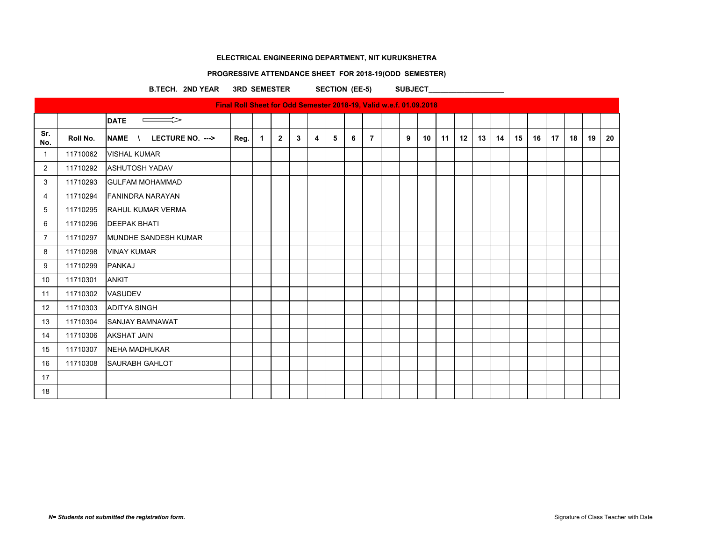#### **PROGRESSIVE ATTENDANCE SHEET FOR 2018-19(ODD SEMESTER)**

B.TECH. 2ND YEAR 3RD SEMESTER SECTION (EE-5) SUBJECT

**Final Roll Sheet for Odd Semester 2018-19, Valid w.e.f. 01.09.2018**  $\qquad \qquad \Longrightarrow$ **DATE Sr.**  Sr. Roll No. NAME \ LECTURE NO. ---> Reg.  $1 \mid 2 \mid 3 \mid 4 \mid 5 \mid 6 \mid 7 \mid 9 \mid 10 \mid 11 \mid 12 \mid 13 \mid 14 \mid 15 \mid 16 \mid 17 \mid 18 \mid 19 \mid 20$ 1 11710062 VISHAL KUMAR 2 11710292 ASHUTOSH YADAV 3 11710293 GULFAM MOHAMMAD 4 11710294 FANINDRA NARAYAN 5 11710295 RAHUL KUMAR VERMA 6 11710296 DEEPAK BHATI 7 | 11710297 | MUNDHE SANDESH KUMAR 8 11710298 VINAY KUMAR 9 11710299 PANKAJ 10 11710301 ANKIT 11 | 11710302 | VASUDEV 12 11710303 ADITYA SINGH 13 11710304 SANJAY BAMNAWAT 14 11710306 AKSHAT JAIN 15 11710307 NEHA MADHUKAR 16 | 11710308 | SAURABH GAHLOT 17 18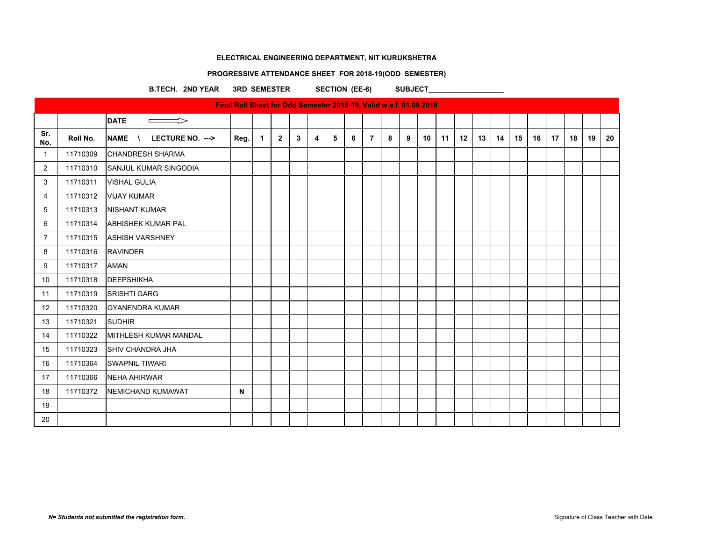# **PROGRESSIVE ATTENDANCE SHEET FOR 2018-19(ODD SEMESTER)**

B.TECH. 2ND YEAR 3RD SEMESTER SECTION (EE-6) SUBJECT

| Final Roll Sheet for Odd Semester 2018-19, Valid w.e.f. 01.09.2018 |          |                                              |              |              |                |                |   |   |   |                |   |   |    |    |    |    |    |    |    |    |    |    |    |
|--------------------------------------------------------------------|----------|----------------------------------------------|--------------|--------------|----------------|----------------|---|---|---|----------------|---|---|----|----|----|----|----|----|----|----|----|----|----|
|                                                                    |          | <b>DATE</b><br>$\Rightarrow$                 |              |              |                |                |   |   |   |                |   |   |    |    |    |    |    |    |    |    |    |    |    |
| Sr.<br>No.                                                         | Roll No. | <b>NAME</b><br>LECTURE NO. ---><br>$\lambda$ | Reg.         | $\mathbf{1}$ | $\overline{2}$ | 3 <sup>1</sup> | 4 | 5 | 6 | $\overline{7}$ | 8 | 9 | 10 | 11 | 12 | 13 | 14 | 15 | 16 | 17 | 18 | 19 | 20 |
| $\mathbf 1$                                                        | 11710309 | <b>CHANDRESH SHARMA</b>                      |              |              |                |                |   |   |   |                |   |   |    |    |    |    |    |    |    |    |    |    |    |
| 2                                                                  | 11710310 | SANJUL KUMAR SINGODIA                        |              |              |                |                |   |   |   |                |   |   |    |    |    |    |    |    |    |    |    |    |    |
| 3                                                                  | 11710311 | <b>VISHAL GULIA</b>                          |              |              |                |                |   |   |   |                |   |   |    |    |    |    |    |    |    |    |    |    |    |
| 4                                                                  | 11710312 | <b>VIJAY KUMAR</b>                           |              |              |                |                |   |   |   |                |   |   |    |    |    |    |    |    |    |    |    |    |    |
| 5                                                                  | 11710313 | <b>NISHANT KUMAR</b>                         |              |              |                |                |   |   |   |                |   |   |    |    |    |    |    |    |    |    |    |    |    |
| 6                                                                  | 11710314 | ABHISHEK KUMAR PAL                           |              |              |                |                |   |   |   |                |   |   |    |    |    |    |    |    |    |    |    |    |    |
| 7                                                                  | 11710315 | <b>ASHISH VARSHNEY</b>                       |              |              |                |                |   |   |   |                |   |   |    |    |    |    |    |    |    |    |    |    |    |
| 8                                                                  | 11710316 | <b>RAVINDER</b>                              |              |              |                |                |   |   |   |                |   |   |    |    |    |    |    |    |    |    |    |    |    |
| 9                                                                  | 11710317 | <b>AMAN</b>                                  |              |              |                |                |   |   |   |                |   |   |    |    |    |    |    |    |    |    |    |    |    |
| 10                                                                 | 11710318 | <b>DEEPSHIKHA</b>                            |              |              |                |                |   |   |   |                |   |   |    |    |    |    |    |    |    |    |    |    |    |
| 11                                                                 | 11710319 | <b>SRISHTI GARG</b>                          |              |              |                |                |   |   |   |                |   |   |    |    |    |    |    |    |    |    |    |    |    |
| 12                                                                 | 11710320 | <b>GYANENDRA KUMAR</b>                       |              |              |                |                |   |   |   |                |   |   |    |    |    |    |    |    |    |    |    |    |    |
| 13                                                                 | 11710321 | <b>SUDHIR</b>                                |              |              |                |                |   |   |   |                |   |   |    |    |    |    |    |    |    |    |    |    |    |
| 14                                                                 | 11710322 | <b>IMITHLESH KUMAR MANDAL</b>                |              |              |                |                |   |   |   |                |   |   |    |    |    |    |    |    |    |    |    |    |    |
| 15                                                                 | 11710323 | SHIV CHANDRA JHA                             |              |              |                |                |   |   |   |                |   |   |    |    |    |    |    |    |    |    |    |    |    |
| 16                                                                 | 11710364 | <b>SWAPNIL TIWARI</b>                        |              |              |                |                |   |   |   |                |   |   |    |    |    |    |    |    |    |    |    |    |    |
| 17                                                                 | 11710366 | <b>NEHA AHIRWAR</b>                          |              |              |                |                |   |   |   |                |   |   |    |    |    |    |    |    |    |    |    |    |    |
| 18                                                                 | 11710372 | NEMICHAND KUMAWAT                            | $\mathsf{N}$ |              |                |                |   |   |   |                |   |   |    |    |    |    |    |    |    |    |    |    |    |
| 19                                                                 |          |                                              |              |              |                |                |   |   |   |                |   |   |    |    |    |    |    |    |    |    |    |    |    |
| 20                                                                 |          |                                              |              |              |                |                |   |   |   |                |   |   |    |    |    |    |    |    |    |    |    |    |    |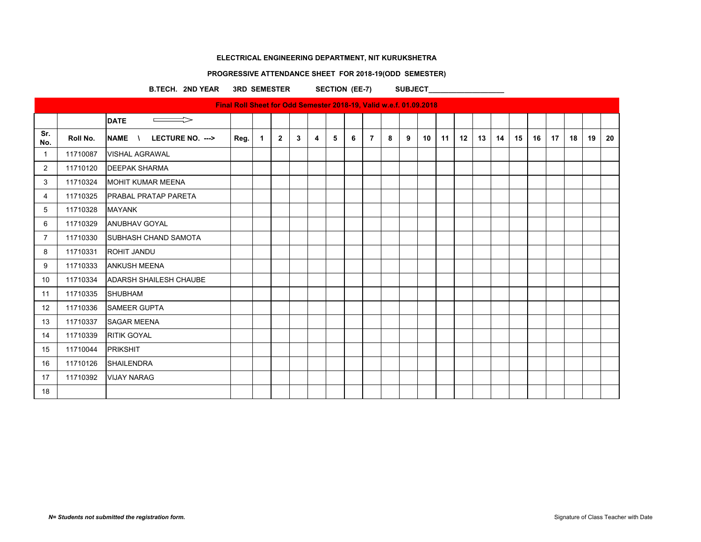#### **PROGRESSIVE ATTENDANCE SHEET FOR 2018-19(ODD SEMESTER)**

B.TECH. 2ND YEAR 3RD SEMESTER SECTION (EE-7) SUBJECT **Final Roll Sheet for Odd Semester 2018-19, Valid w.e.f. 01.09.2018**  $\qquad \qquad \Longrightarrow$ **DATE Sr.**  S<sup>r.</sup> | Roll No. |NAME \ LECTURE NO. ---> |Reg.| 1 | 2 | 3 | 4 | 5 | 6 | 7 | 8 | 9 | 10 | 11 | 12 | 13 | 14 | 15 | 16 | 17 | 18 | 19 | 20 1 11710087 VISHAL AGRAWAL 2 11710120 DEEPAK SHARMA 3 | 11710324 MOHIT KUMAR MEENA 4 11710325 PRABAL PRATAP PARETA 5 11710328 MAYANK 6 11710329 ANUBHAV GOYAL 7 | 11710330 SUBHASH CHAND SAMOTA 8 11710331 ROHIT JANDU 9 11710333 ANKUSH MEENA 10 11710334 ADARSH SHAILESH CHAUBE 11 | 11710335 | SHUBHAM 12 11710336 SAMEER GUPTA 13 | 11710337 | SAGAR MEENA 14 11710339 RITIK GOYAL 15 11710044 PRIKSHIT 16 11710126 SHAILENDRA 17 11710392 VIJAY NARAG 18